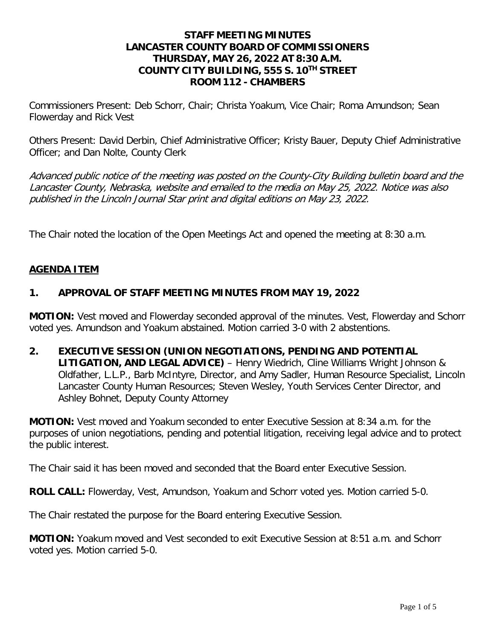#### **STAFF MEETING MINUTES LANCASTER COUNTY BOARD OF COMMISSIONERS THURSDAY, MAY 26, 2022 AT 8:30 A.M. COUNTY CITY BUILDING, 555 S. 10TH STREET ROOM 112 - CHAMBERS**

Commissioners Present: Deb Schorr, Chair; Christa Yoakum, Vice Chair; Roma Amundson; Sean Flowerday and Rick Vest

Others Present: David Derbin, Chief Administrative Officer; Kristy Bauer, Deputy Chief Administrative Officer; and Dan Nolte, County Clerk

Advanced public notice of the meeting was posted on the County-City Building bulletin board and the Lancaster County, Nebraska, website and emailed to the media on May 25, 2022. Notice was also published in the Lincoln Journal Star print and digital editions on May 23, 2022.

The Chair noted the location of the Open Meetings Act and opened the meeting at 8:30 a.m.

#### **AGENDA ITEM**

#### **1. APPROVAL OF STAFF MEETING MINUTES FROM MAY 19, 2022**

**MOTION:** Vest moved and Flowerday seconded approval of the minutes. Vest, Flowerday and Schorr voted yes. Amundson and Yoakum abstained. Motion carried 3-0 with 2 abstentions.

**2. EXECUTIVE SESSION (UNION NEGOTIATIONS, PENDING AND POTENTIAL LITIGATION, AND LEGAL ADVICE)** – Henry Wiedrich, Cline Williams Wright Johnson & Oldfather, L.L.P., Barb McIntyre, Director, and Amy Sadler, Human Resource Specialist, Lincoln Lancaster County Human Resources; Steven Wesley, Youth Services Center Director, and Ashley Bohnet, Deputy County Attorney

**MOTION:** Vest moved and Yoakum seconded to enter Executive Session at 8:34 a.m. for the purposes of union negotiations, pending and potential litigation, receiving legal advice and to protect the public interest.

The Chair said it has been moved and seconded that the Board enter Executive Session.

**ROLL CALL:** Flowerday, Vest, Amundson, Yoakum and Schorr voted yes. Motion carried 5-0.

The Chair restated the purpose for the Board entering Executive Session.

**MOTION:** Yoakum moved and Vest seconded to exit Executive Session at 8:51 a.m. and Schorr voted yes. Motion carried 5-0.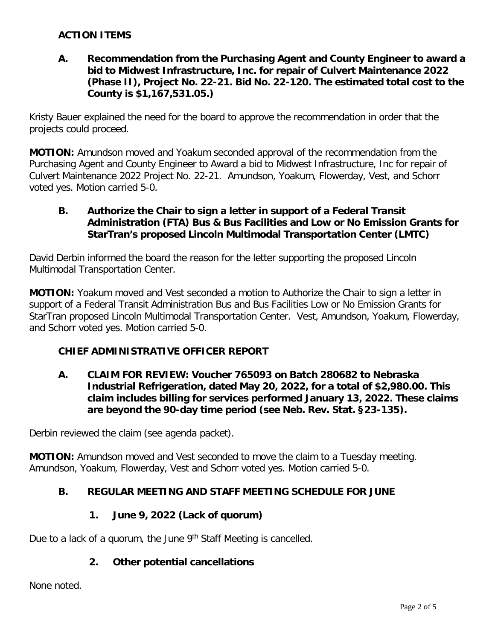## **ACTION ITEMS**

#### **A. Recommendation from the Purchasing Agent and County Engineer to award a bid to Midwest Infrastructure, Inc. for repair of Culvert Maintenance 2022 (Phase II), Project No. 22-21. Bid No. 22-120. The estimated total cost to the County is \$1,167,531.05.)**

Kristy Bauer explained the need for the board to approve the recommendation in order that the projects could proceed.

**MOTION:** Amundson moved and Yoakum seconded approval of the recommendation from the Purchasing Agent and County Engineer to Award a bid to Midwest Infrastructure, Inc for repair of Culvert Maintenance 2022 Project No. 22-21. Amundson, Yoakum, Flowerday, Vest, and Schorr voted yes. Motion carried 5-0.

#### **B. Authorize the Chair to sign a letter in support of a Federal Transit Administration (FTA) Bus & Bus Facilities and Low or No Emission Grants for StarTran's proposed Lincoln Multimodal Transportation Center (LMTC)**

David Derbin informed the board the reason for the letter supporting the proposed Lincoln Multimodal Transportation Center.

**MOTION:** Yoakum moved and Vest seconded a motion to Authorize the Chair to sign a letter in support of a Federal Transit Administration Bus and Bus Facilities Low or No Emission Grants for StarTran proposed Lincoln Multimodal Transportation Center. Vest, Amundson, Yoakum, Flowerday, and Schorr voted yes. Motion carried 5-0.

## **CHIEF ADMINISTRATIVE OFFICER REPORT**

**A. CLAIM FOR REVIEW: Voucher 765093 on Batch 280682 to Nebraska Industrial Refrigeration, dated May 20, 2022, for a total of \$2,980.00. This claim includes billing for services performed January 13, 2022. These claims are beyond the 90-day time period (see Neb. Rev. Stat. §23-135).**

Derbin reviewed the claim (see agenda packet).

**MOTION:** Amundson moved and Vest seconded to move the claim to a Tuesday meeting. Amundson, Yoakum, Flowerday, Vest and Schorr voted yes. Motion carried 5-0.

## **B. REGULAR MEETING AND STAFF MEETING SCHEDULE FOR JUNE**

#### **1. June 9, 2022 (Lack of quorum)**

Due to a lack of a quorum, the June 9<sup>th</sup> Staff Meeting is cancelled.

#### **2. Other potential cancellations**

None noted.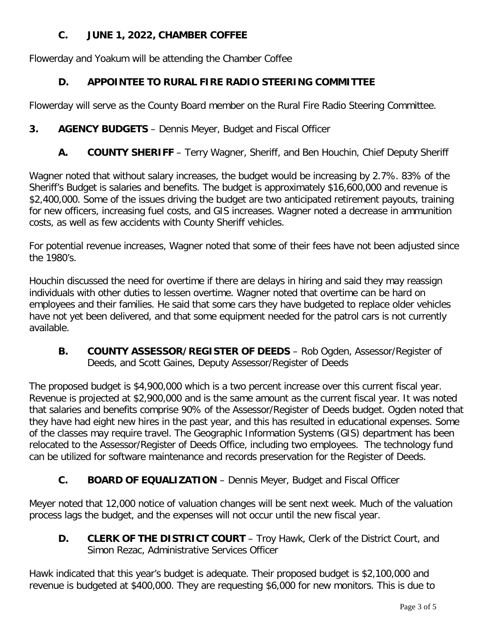# **C. JUNE 1, 2022, CHAMBER COFFEE**

Flowerday and Yoakum will be attending the Chamber Coffee

# **D. APPOINTEE TO RURAL FIRE RADIO STEERING COMMITTEE**

Flowerday will serve as the County Board member on the Rural Fire Radio Steering Committee.

# **3. AGENCY BUDGETS** – Dennis Meyer, Budget and Fiscal Officer

**A. COUNTY SHERIFF** – Terry Wagner, Sheriff, and Ben Houchin, Chief Deputy Sheriff

Wagner noted that without salary increases, the budget would be increasing by 2.7%. 83% of the Sheriff's Budget is salaries and benefits. The budget is approximately \$16,600,000 and revenue is \$2,400,000. Some of the issues driving the budget are two anticipated retirement payouts, training for new officers, increasing fuel costs, and GIS increases. Wagner noted a decrease in ammunition costs, as well as few accidents with County Sheriff vehicles.

For potential revenue increases, Wagner noted that some of their fees have not been adjusted since the 1980's.

Houchin discussed the need for overtime if there are delays in hiring and said they may reassign individuals with other duties to lessen overtime. Wagner noted that overtime can be hard on employees and their families. He said that some cars they have budgeted to replace older vehicles have not yet been delivered, and that some equipment needed for the patrol cars is not currently available.

**B. COUNTY ASSESSOR/REGISTER OF DEEDS** – Rob Ogden, Assessor/Register of Deeds, and Scott Gaines, Deputy Assessor/Register of Deeds

The proposed budget is \$4,900,000 which is a two percent increase over this current fiscal year. Revenue is projected at \$2,900,000 and is the same amount as the current fiscal year. It was noted that salaries and benefits comprise 90% of the Assessor/Register of Deeds budget. Ogden noted that they have had eight new hires in the past year, and this has resulted in educational expenses. Some of the classes may require travel. The Geographic Information Systems (GIS) department has been relocated to the Assessor/Register of Deeds Office, including two employees. The technology fund can be utilized for software maintenance and records preservation for the Register of Deeds.

# **C. BOARD OF EQUALIZATION** – Dennis Meyer, Budget and Fiscal Officer

Meyer noted that 12,000 notice of valuation changes will be sent next week. Much of the valuation process lags the budget, and the expenses will not occur until the new fiscal year.

**D. CLERK OF THE DISTRICT COURT** – Troy Hawk, Clerk of the District Court, and Simon Rezac, Administrative Services Officer

Hawk indicated that this year's budget is adequate. Their proposed budget is \$2,100,000 and revenue is budgeted at \$400,000. They are requesting \$6,000 for new monitors. This is due to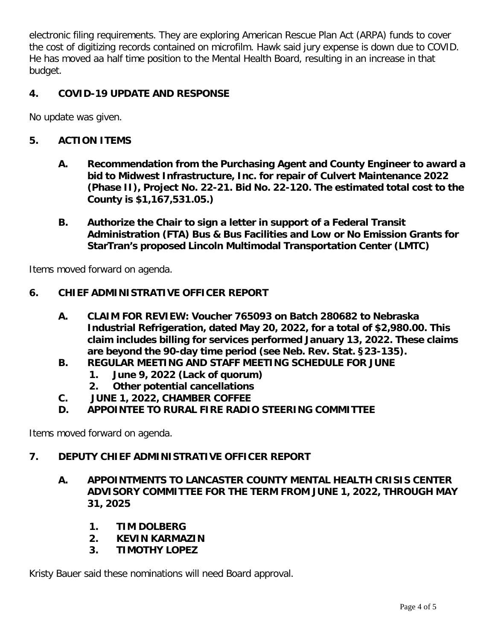electronic filing requirements. They are exploring American Rescue Plan Act (ARPA) funds to cover the cost of digitizing records contained on microfilm. Hawk said jury expense is down due to COVID. He has moved aa half time position to the Mental Health Board, resulting in an increase in that budget.

# **4. COVID-19 UPDATE AND RESPONSE**

No update was given.

### **5. ACTION ITEMS**

- **A. Recommendation from the Purchasing Agent and County Engineer to award a bid to Midwest Infrastructure, Inc. for repair of Culvert Maintenance 2022 (Phase II), Project No. 22-21. Bid No. 22-120. The estimated total cost to the County is \$1,167,531.05.)**
- **B. Authorize the Chair to sign a letter in support of a Federal Transit Administration (FTA) Bus & Bus Facilities and Low or No Emission Grants for StarTran's proposed Lincoln Multimodal Transportation Center (LMTC)**

Items moved forward on agenda.

## **6. CHIEF ADMINISTRATIVE OFFICER REPORT**

- **A. CLAIM FOR REVIEW: Voucher 765093 on Batch 280682 to Nebraska Industrial Refrigeration, dated May 20, 2022, for a total of \$2,980.00. This claim includes billing for services performed January 13, 2022. These claims are beyond the 90-day time period (see Neb. Rev. Stat. §23-135).**
- **B. REGULAR MEETING AND STAFF MEETING SCHEDULE FOR JUNE**
	- **1. June 9, 2022 (Lack of quorum)**
	- **2. Other potential cancellations**
- **C. JUNE 1, 2022, CHAMBER COFFEE**
- **D. APPOINTEE TO RURAL FIRE RADIO STEERING COMMITTEE**

Items moved forward on agenda.

# **7. DEPUTY CHIEF ADMINISTRATIVE OFFICER REPORT**

- **A. APPOINTMENTS TO LANCASTER COUNTY MENTAL HEALTH CRISIS CENTER ADVISORY COMMITTEE FOR THE TERM FROM JUNE 1, 2022, THROUGH MAY 31, 2025**
	- **1. TIM DOLBERG**
	- **2. KEVIN KARMAZIN**
	- **3. TIMOTHY LOPEZ**

Kristy Bauer said these nominations will need Board approval.